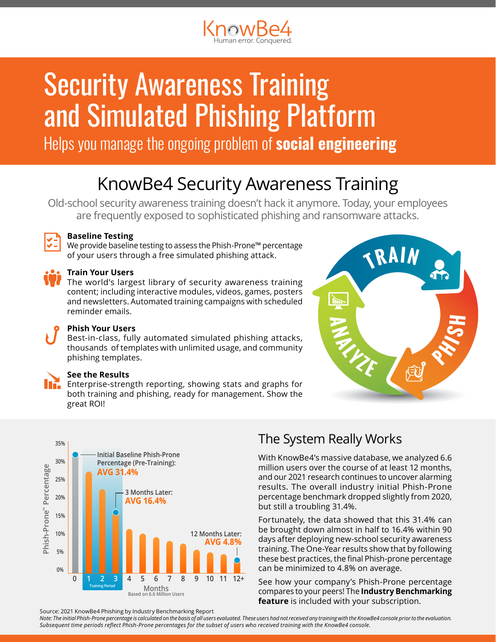

# **Security Awareness Training** and Simulated Phishing Platform

Helps you manage the ongoing problem of **social engineering** 

## KnowBe4 Security Awareness Training

Old-school security awareness training doesn't hack it anymore. Today, your employees are frequently exposed to sophisticated phishing and ransomware attacks.



#### **Baseline Testing**

We provide baseline testing to assess the Phish-Prone™ percentage of your users through a free simulated phishing attack.

#### **Train Your Users**

The world's largest library of security awareness training content; including interactive modules, videos, games, posters and newsletters. Automated training campaigns with scheduled reminder emails.

#### **Phish Your Users**

Best-in-class, fully automated simulated phishing attacks, thousands of templates with unlimited usage, and community phishing templates.

#### **See the Results**

Enterprise-strength reporting, showing stats and graphs for both training and phishing, ready for management. Show the great ROI!





### The System Really Works

With KnowBe4's massive database, we analyzed 6.6 million users over the course of at least 12 months, and our 2021 research continues to uncover alarming results. The overall industry initial Phish-Prone percentage benchmark dropped slightly from 2020, but still a troubling 31.4%.

Fortunately, the data showed that this 31.4% can be brought down almost in half to 16.4% within 90 days after deploying new-school security awareness training. The One-Year results show that by following these best practices, the final Phish-prone percentage can be minimized to 4.8% on average.

See how your company's Phish-Prone percentage compares to your peers! The **Industry Benchmarking feature** is included with your subscription.

Source: 2021 KnowBe4 Phishing by Industry Benchmarking Report

*Note: The initial Phish-Prone percentage is calculated on the basis of all users evaluated. These users had not received any training with the KnowBe4 console prior to the evaluation. Subsequent time periods reflect Phish-Prone percentages for the subset of users who received training with the KnowBe4 console.*